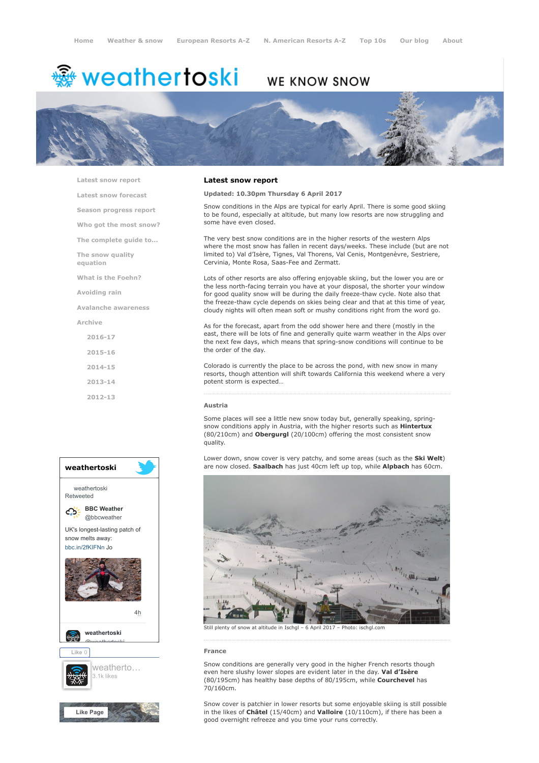# <del>鑾</del> weathertoski

# WE KNOW SNOW



[Latest snow report](https://www.weathertoski.co.uk/weather-snow/latest-snow-report/)

[Latest snow forecast](https://www.weathertoski.co.uk/weather-snow/latest-snow-forecast/)

[Season progress report](https://www.weathertoski.co.uk/weather-snow/season-progress-report/)

[Who got the most snow?](https://www.weathertoski.co.uk/weather-snow/who-got-the-most-snow/)

[The complete guide to...](https://www.weathertoski.co.uk/weather-snow/the-complete-guide-to/)

[The snow quality](https://www.weathertoski.co.uk/weather-snow/the-snow-quality-equation/)

[What is the Foehn?](https://www.weathertoski.co.uk/weather-snow/what-is-the-foehn/)

[Avoiding rain](https://www.weathertoski.co.uk/weather-snow/avoiding-rain/)

equation

[Avalanche awareness](https://www.weathertoski.co.uk/weather-snow/avalanche-awareness/)

[Archive](https://www.weathertoski.co.uk/weather-snow/archive/)

- [2016-17](https://www.weathertoski.co.uk/weather-snow/archive/2016-17/) [2015-16](https://www.weathertoski.co.uk/weather-snow/archive/2015-16/)
- [2014-15](https://www.weathertoski.co.uk/weather-snow/archive/2014-15/)
- 
- [2013-14](https://www.weathertoski.co.uk/weather-snow/archive/2013-14/)
- [2012-13](https://www.weathertoski.co.uk/weather-snow/archive/2012-13/)



# Latest snow report

# Updated: 10.30pm Thursday 6 April 2017

Snow conditions in the Alps are typical for early April. There is some good skiing to be found, especially at altitude, but many low resorts are now struggling and some have even closed.

The very best snow conditions are in the higher resorts of the western Alps where the most snow has fallen in recent days/weeks. These include (but are not limited to) Val d'Isère, Tignes, Val Thorens, Val Cenis, Montgenèvre, Sestriere, Cervinia, Monte Rosa, Saas-Fee and Zermatt.

Lots of other resorts are also offering enjoyable skiing, but the lower you are or the less north-facing terrain you have at your disposal, the shorter your window for good quality snow will be during the daily freeze-thaw cycle. Note also that the freeze-thaw cycle depends on skies being clear and that at this time of year, cloudy nights will often mean soft or mushy conditions right from the word go.

As for the forecast, apart from the odd shower here and there (mostly in the east, there will be lots of fine and generally quite warm weather in the Alps over the next few days, which means that spring-snow conditions will continue to be the order of the day.

Colorado is currently the place to be across the pond, with new snow in many resorts, though attention will shift towards California this weekend where a very potent storm is expected…

#### Austria

Some places will see a little new snow today but, generally speaking, springsnow conditions apply in Austria, with the higher resorts such as **Hintertux** (80/210cm) and Obergurgl (20/100cm) offering the most consistent snow quality.

Lower down, snow cover is very patchy, and some areas (such as the **Ski Welt**) are now closed. Saalbach has just 40cm left up top, while Alpbach has 60cm.



snow at altitude in Ischgl – 6 April 2017 – Photo: ischgl.com

### France

Snow conditions are generally very good in the higher French resorts though even here slushy lower slopes are evident later in the day. Val d'Isère (80/195cm) has healthy base depths of 80/195cm, while Courchevel has 70/160cm.

Snow cover is patchier in lower resorts but some enjoyable skiing is still possible in the likes of Châtel (15/40cm) and Valloire (10/110cm), if there has been a good overnight refreeze and you time your runs correctly.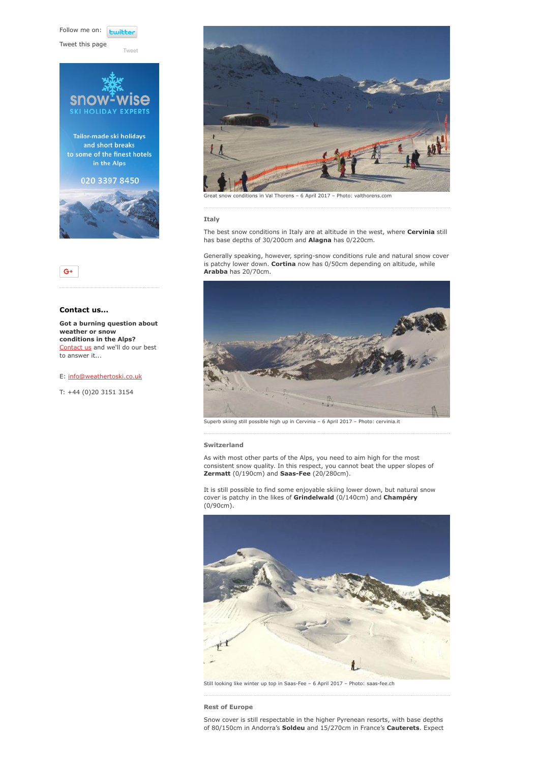Follow me on: **Lwitte** 

[Tweet](https://twitter.com/intent/tweet?original_referer=https%3A%2F%2Fwww.weathertoski.co.uk%2Fweather-snow%2Farchive%2Fsnow-report-06-04-2017%2F&ref_src=twsrc%5Etfw&text=Weather%20to%20ski%20-%20Snow%20report%20-%206%20April%202017&tw_p=tweetbutton&url=https%3A%2F%2Fwww.weathertoski.co.uk%2Fweather-snow%2Farchive%2Fsnow-report-06-04-2017%2F)

Tweet this page





# Contact us...

Got a burning question about weather or snow conditions in the Alps? [Contact us](https://www.weathertoski.co.uk/about-1/contact-us/) and we'll do our best to answer it...

## E: [info@weathertoski.co.uk](mailto:fraser@weathertoski.co.uk)

T: +44 (0)20 3151 3154



ditions in Val Thorens – 6 April 2017 – Photo: valthorens.com

#### Italy

The best snow conditions in Italy are at altitude in the west, where Cervinia still has base depths of 30/200cm and Alagna has 0/220cm.

Generally speaking, however, spring-snow conditions rule and natural snow cover is patchy lower down. Cortina now has 0/50cm depending on altitude, while Arabba has 20/70cm.



Superb skiing still possible high up in Cervinia – 6 April 2017 – Photo: cervinia.it

# Switzerland

As with most other parts of the Alps, you need to aim high for the most consistent snow quality. In this respect, you cannot beat the upper slopes of Zermatt (0/190cm) and Saas-Fee (20/280cm).

It is still possible to find some enjoyable skiing lower down, but natural snow cover is patchy in the likes of Grindelwald (0/140cm) and Champéry (0/90cm).



Still looking like winter up top in Saas-Fee – 6 April 2017 – Photo: saas-fee.ch

Rest of Europe

Snow cover is still respectable in the higher Pyrenean resorts, with base depths of 80/150cm in Andorra's Soldeu and 15/270cm in France's Cauterets. Expect